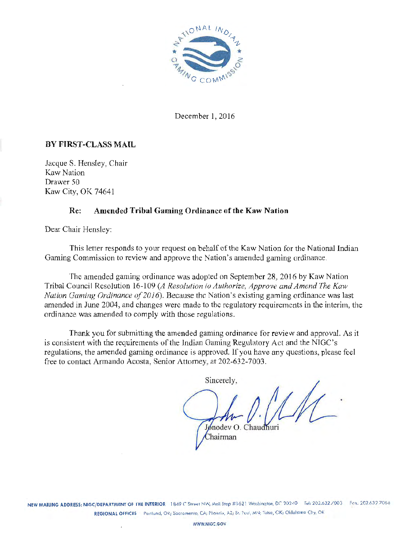

December l, 2016

#### **BY FIRST-CLASS MAIL**

Jacque S. Hensley, Chair Kaw Nation Drawer 50 Kaw City, OK 74641

#### **Re: Amended Tribal Gaming Ordinance of the Kaw Nation**

Dear Chair Hensley:

This letter responds to your request on behalf of the Kaw Nation for the National Indian Gaming Commission to review and approve the Nation's amended gaming ordinance.

The amended gaming ordinance was adopted on September 28, 2016 by Kaw Nation Tribal Council Resolution 16-109 *(A Resolution* lo *Authorize, Approve and Amend The Kaw Nation Gaming Ordinance of 2016).* Because the Nation's existing gaming ordinance was last amended in June 2004, and changes were made to tbc regulatory requirements in the interim, the ordinance was amended to comply with those regulations.

Thank you for submitting the amended gaming ordinance for review and approval. As it is consistent with the requirements of the Jndian Gaming Regulatory Act and the NIGC's regulations, the amended gaming ordinance is approved. If you have any questions, please feel free to contact Armando Acosta, Senior Attorney, at 202-632-7003.

Sincerely,

Jonodev O. Chaudhuri Chairman

NEW MAILING ADDRESS: NIGC/DEPARTMENT OF THE INTERIOR 1849 C Street NW, Mail Stop #1621 Washington, DC 20240 Tel: 202.632.7003 Fax: 202.632.7066 REGIONAL OFFICES Portland, OR; Sacramento, CA; Phoenix, AZ; St. Paul, MN; Tulsa, OK; Oklahoma City, OK

WWW.NIGC.GOV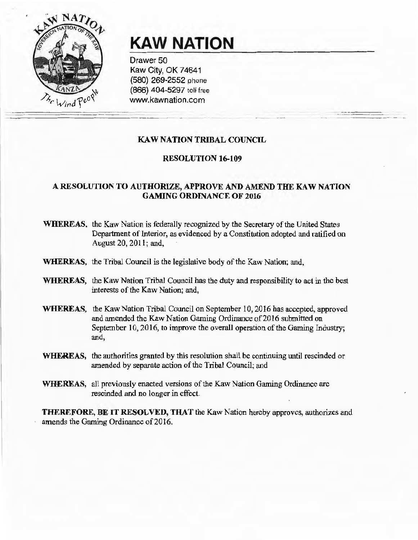

# **KAW NATION**

Drawer 50 Kaw City, OK 74641 (580) 269-2552 phone (866) 404-5297 toll free www.kawnation.com

### KAW NATION TRIBAL COUNCIL

#### RESOLUTION 16-109

#### A RESOLUTION TO AUTHORIZE, APPROVE AND AMEND THE KAW NATION GAMING ORDINANCE OF 2016

- WHEREAS, the Kaw Nation is federally recognized by the Secretary of the United States Department of Interior, as evidenced by a Constitution adopted and ratified on August 20, 2011; and,
- WHEREAS, the Tribal Council is the legislative body of the Kaw Nation; and,
- WHEREAS, the Kaw Nation Tribal Council has the duty and responsibility to act in the best interests of the Kaw Nation; and,
- WHEREAS, the Kaw Nation Tribal Council on September 10, 2016 has accepted, approved and amended the Kaw Nation Gaming Ordinance of 2016 submitted on September 10, 2016, to improve the overall operation of the Gaming Industry; and,
- WHEREAS, the authorities granted by this resolution shall be continuing until rescinded or amended by separate action of the Tribal Council; and
- WHEREAS, all previously enacted versions of the Kaw Nation Gaming Ordinance are rescinded and no longer in effect.

THEREFORE, BE IT RESOLVED, THAT the Kaw Nation hereby approves, authorizes and amends the Gaming Ordinance of 2016.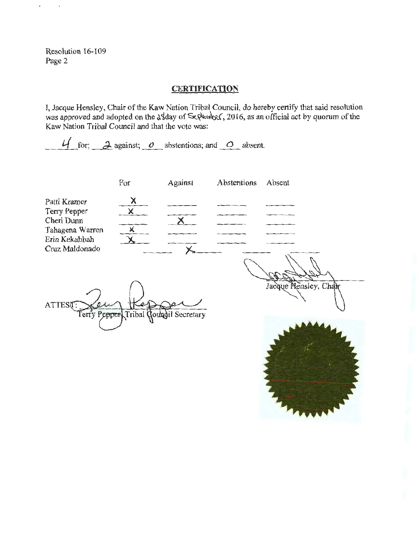Resolution 16-109 Page 2

### **CERTIFICATION**

I, Jacque Hensley, Chair of the Kaw Nation Tribal Council, do hereby certify that said resolution was approved and adopted on the  $\frac{\delta}{\delta}$  day of Se. Worder, 2016, as an official act by quorum of the Kaw Nation Tribal Council and that the vote was:

 $\frac{1}{2}$  for;  $\frac{1}{2}$  against;  $\frac{0}{2}$  abstentions; and  $\frac{0}{2}$  absent.

Terry Pepper Tribal Council Secretary

|                                                    | For | Against | Abstentions | Absent               |
|----------------------------------------------------|-----|---------|-------------|----------------------|
| Patti Kramer                                       |     |         |             |                      |
| Terry Pepper<br>Cheri Dunn                         |     |         |             |                      |
| Tahagena Warren<br>Erin Kekahbah<br>Cruz Maldonado |     |         |             |                      |
|                                                    |     |         |             |                      |
| <b>ATTES?</b>                                      |     |         |             | Jacque Hensley, Char |

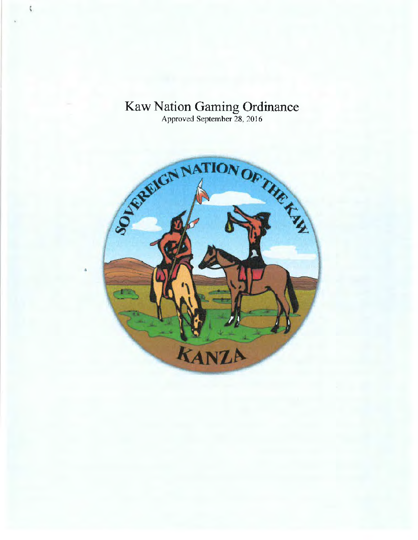

 $\frac{1}{2}$ 

Approved September 28, 2016

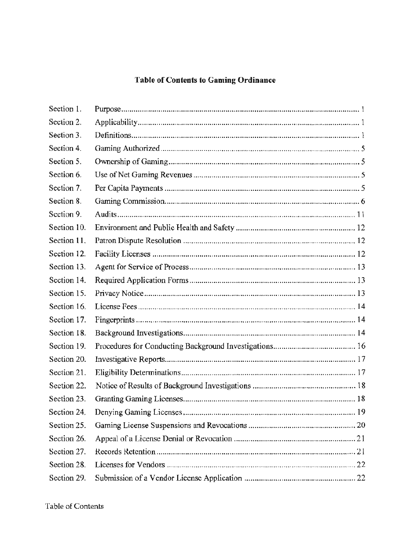## **Table of Contents to Gaming Ordinance**

| Section 1.  |  |
|-------------|--|
| Section 2.  |  |
| Section 3.  |  |
| Section 4.  |  |
| Section 5.  |  |
| Section 6.  |  |
| Section 7.  |  |
| Section 8.  |  |
| Section 9.  |  |
| Section 10. |  |
| Section 11. |  |
| Section 12. |  |
| Section 13. |  |
| Section 14. |  |
| Section 15. |  |
| Section 16. |  |
| Section 17. |  |
| Section 18. |  |
| Section 19. |  |
| Section 20. |  |
| Section 21. |  |
| Section 22. |  |
| Section 23. |  |
| Section 24. |  |
| Section 25. |  |
| Section 26. |  |
| Section 27. |  |
| Section 28. |  |
| Section 29. |  |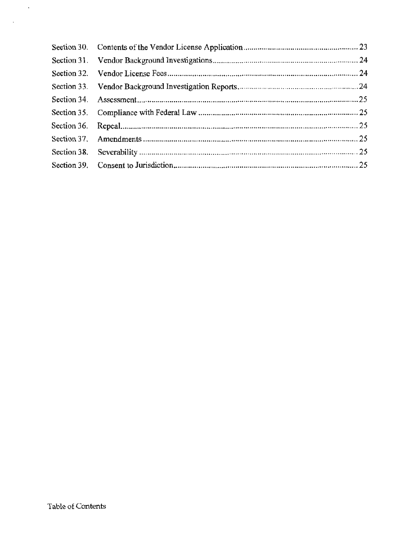$\mathcal{A}$ 

 $\bar{\mathcal{A}}$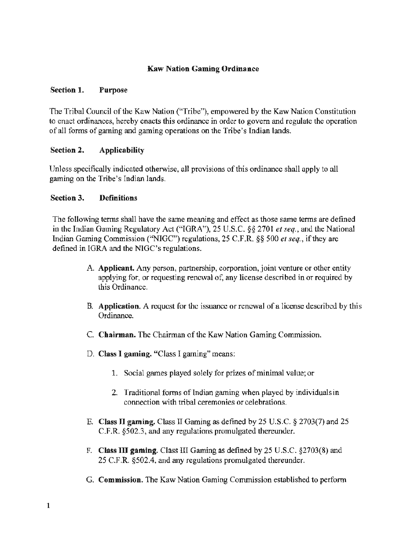#### Kaw Nation Gaming Ordinance

#### Section 1. Purpose

The Tribal Council of the Kaw Nation ("Tribe"), empowered by the Kaw Nation Constitution to enact ordinances, hereby enacts this ordinance in order to govern and regulate the operation of all forms of gaming and gaming operations on the Tribe's Indian lands.

#### Section 2. Applicability

Unless specifically indicated otherwise, all provisions of this ordinance shall apply to all gaming on the Tribe's Indian lands.

#### Section 3. Definitions

The following terms shall have the same meaning and effect as those same terms are defined in the Indian Gaming Regulatory Act ("IGRA"), 25 U.S.C. *§§* 2701 *et seq.,* and the National Indian Gaming Commission ("NIGC") regulations, 25 C.F.R. *§§* 500 *et seq.,* if they are defined in IGRA and the NIGC's regulations.

- A. Applicant. Any person, partnership, corporation, joint venture or other entity applying for, or requesting renewal of, any license described in or required by this Ordinance.
- B. Application. A request for the issuance or renewal of a license described by this Ordinance.
- C. Chairman. The Chairman of the Kaw Nation Gaming Commission.
- D. Class I gaming. "Class I gaming" means:
	- 1. Social games played solely for prizes of minimal value; or
	- 2. Traditional fonns of Indian gaming when played by individuals in connection with tribal ceremonies or celebrations.
- E. Class II gaming. Class II Gaming as defined by 25 U.S.C. § 2703(7) and 25 C.F.R. §502.3, and any regulations promulgated thereunder.
- F. Class III gaming. Class III Gaming as defined by 25 U .S.C. §2703(8) and 25 C.F.R. §502.4, and any regulations promulgated thereunder.
- G. Commission. The Kaw Nation Gaming Commission established to perform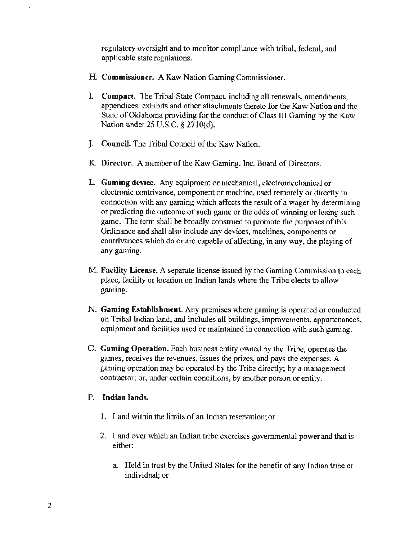regulatory oversight and to monitor compliance with tribal, federal, and applicable state regulations.

- H. Commissioner. A Kaw Nation Gaming Commissioner.
- I. Compact. The Tribal State Compact, including all renewals, amendments, appendices, exhibits and other attachments thereto for the Kaw Nation and the State of Oklahoma providing for the conduct of Class III Gaming by the Kaw Nation under 25 U.S.C. § 2710(d).
- J. Council. The Tribal Council of the Kaw Nation.
- K Director. A member of the Kaw Gaming, Inc. Board of Directors.
- L. Gaming device. Any equipment or mechanical, electromechanical or electronic contrivance, component or machine, used remotely or directly in connection with any gaming which affects the result of a wager by determining or predicting the outcome of such game or the odds of winning or losing such game. The term shall be broadly construed to promote the purposes of this Ordinance and shall also include any devices, machines, components or contrivances which do or are capable of affecting, in any way. the playing of any gaming.
- M. Facility License. A separate license issued by the Gaming Commission to each place, facility or location on Indian lands where the Tribe elects to allow gaming.
- N. Gaming Establishment. Any premises where gaming is operated or conducted on Tribal Indian land, and includes all buildings, improvements, appurtenances, equipment and facilities used or maintained in connection with such gaming.
- 0. Gaming Operation. Each business entity owned by the Tribe, operates the games, receives the revenues, issues the prizes, and pays the expenses. A gaming operation may be operated by the Tribe directly; by a management contractor; or, under certain conditions, by another person or entity.

#### P. Indian lands.

- 1. Land within the limits of an Indian reservation; or
- 2. Land over which an Indian tribe exercises governmental power and that is either:
	- a. Held in trust by the United States for the benefit of any Indian tribe or individual; or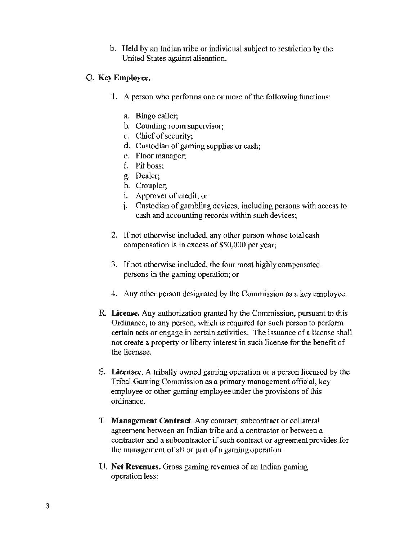b. Held by an Indian tribe or individual subject to restriction by the United States against alienation.

#### Q. Key Employee.

- 1. A person who performs one or more of the following functions:
	- a. Bingo caller;
	- b. Counting room supervisor;
	- c. Chief of security;
	- d. Custodian of gaming supplies or cash;
	- e. Floor manager;
	- f. Pit boss;
	- g. Dealer;
	- h. Croupier;
	- i. Approver of credit; or
	- j. Custodian of gambling devices, including persons with access to cash and accounting records within such devices;
- 2. If not otherwise included, any other person whose total cash compensation is in excess of \$50,000 per year;
- 3. If not otherwise included, the four most highly compensated persons in the gaming operation; or
- 4. Any other person designated by the Commission as a key employee.
- R. License. Any authorization granted by the Commission, pursuant to this Ordinance, to any person, which is required for such person to perform certain acts or engage in certain activities. The issuance of a license shall not create a property or liberty interest in such license for the benefit of the licensee.
- S. Licensee. A tribally owned gaming operation or a person licensed by the Tribal Gaming Commission as a primary management official, key employee or other gaming employee under the provisions of this ordinance.
- T. Management Contract. Any contract, subcontract or collateral agreement between an Indian tribe and a contractor or between a contractor and a subcontractor if such contract or agreement provides for the management of all or part of a gaming operation.
- U. Net Revenues. Gross gaming revenues of an Indian gaming operation less: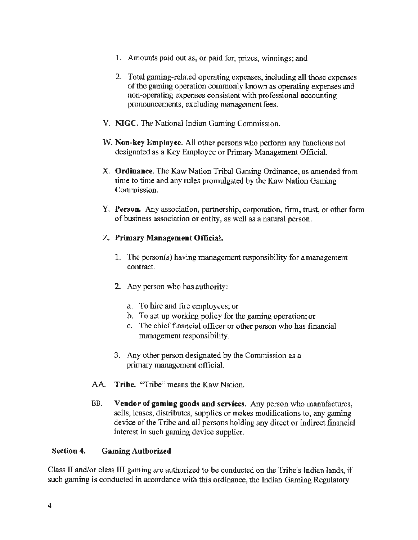- 1. Amounts paid out as, or paid for, prizes, winnings; and
- 2. Total gaming-related operating expenses, including all those expenses of the gaming operation commonly known as operating expenses and non-operating expenses consistent with professional accounting pronouncements, excluding management fees.
- V. NIGC. The National Indian Gaming Commission.
- W. Non-key Employee. All other persons who perform any functions not designated as a Key Employee or Primary Management Official.
- X. Ordinance. The Kaw Nation Tribal Gaming Ordinance, as amended from time to time and any rules promulgated by the Kaw Nation Gaming Commission.
- Y. Person. Any association, partnership, corporation, firm, trust, or other form of business association or entity, as well as a natural person.

### Z. Primary Management Official.

- 1. The person(s) having management responsibility for amanagement contract.
- 2. Any person who has authority:
	- a. To hire and fire employees; or
	- b. To set up working policy for the gaming operation; or
	- c. The chief financial officer or other person who has financial management responsibility.
- 3. Any other person designated by the Commission as a primary management official.
- AA. Tribe. "Tribe" means the Kaw Nation.
- BB. Vendor of gaming goods and services. Any person who manufactures, sells, leases, distributes, supplies or makes modifications to, any gaming device of the Tribe and all persons holding any direct or indirect financial interest in such gaming device supplier.

#### Section 4. Gaming Authorized

Class II and/or class III gaming are authorized to be conducted on the Tribe's Indian lands, if such gaming is conducted in accordance with this ordinance, the Indian Gaming Regulatory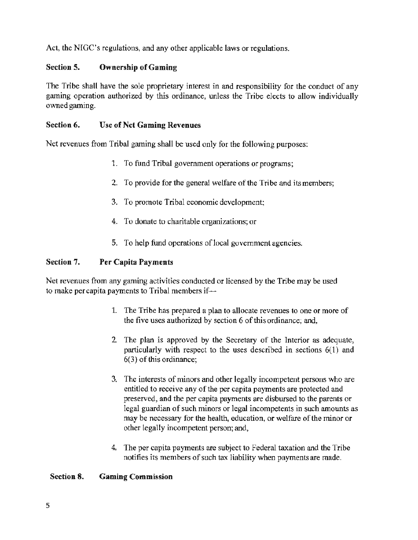Act, the NIGC's regulations, and any other applicable laws or regulations.

### Section 5. Ownership of Gaming

The Tribe shall have the sole proprietary interest in and responsibility for the conduct of any gaming operation authorized by this ordinance, unless the Tribe elects to allow individually owned gaming.

#### Section 6. Use of Net Gaming Revenues

Net revenues from Tribal gaming shall be used only for the following purposes:

- 1. To fund Tribal government operations or programs;
- 2. To provide for the general welfare of the Tribe and its members;
- 3. To promote Tribal economic development;
- 4. To donate to charitable organizations; or
- 5. To help fund operations of local government agencies.

### Section 7. Per Capita Payments

Net revenues from any gaming activities conducted or licensed by the Tribe may be used to make per capita payments to Tribal members if-

- 1. The Tribe has prepared a plan to allocate revenues to one or more of the five uses authorized by section 6 of this ordinance; and,
- 2 The plan is approved by the Secretary of the Interior as adequate. particularly with respect to the uses described in sections 6(1) and 6(3) of this ordinance;
- 3. The interests of minors and other legally incompetent persons who are entitled to receive any of the per capita payments are protected and preserved, and the per capita payments are disbursed to the parents or legal guardian of such minors or legal incompetents in such amounts as may be necessary for the health, education, or welfare of the minor or other legally incompetent person; and,
- 4. The per capita payments are subject to Federal taxation and the Tribe notifies its members of such tax liability when payments are made.

#### Section 8. Gaming Commission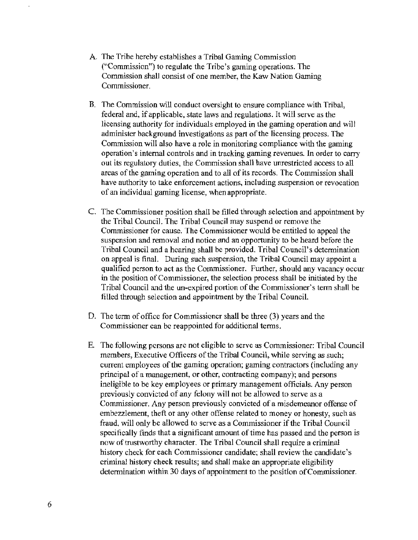- A. The Tribe hereby establishes a Tribal Gaming Commission ("Commission") to regulate the Tribe's gaming operations. The Commission shall consist of one member, the Kaw Nation Gaming Commissioner.
- B. The Commission will conduct oversight to ensure compliance with Tribal, federal and, if applicable, state laws and regulations. It will serve as the licensing authority for individuals employed in the gaming operation and will administer background investigations as part of the licensing process. The Commission will also have a role in monitoring compliance with the gaming operation's internal controls and in tracking gaming revenues. In order to carry out its regulatory duties, the Commission shall have unrestricted access to all areas of the gaming operation and to all of its records. The Commission shall have authority to take enforcement actions. including suspension or revocation of an individual gaming license, whenappropriate.
- C. The Commissioner position shall be filled through selection and appointment by the Tribal Council. The Tribal Council may suspend or remove the Commissioner for cause. The Commissioner would be entitled to appeal the suspension and removal and notice and an opportunity to be heard before the Tribal Council and a hearing shall be provided. Tribal Council's determination on appeal is final. During such suspension, the Tribal Council may appoint a qualified person to act as the Commissioner. Further, should any vacancy occur in the position of Commissioner, the selection process shall be initiated by the Tribal Council and the un-expired portion of the Commissioner's term shall be filled through selection and appointment by the Tribal Council.
- 0. The term of office for Commissioner shall be three (3) years and the Commissioner can be reappointed for additional tenns.
- E. The following persons are not eligible to serve as Commissioner: Tribal Council members, Executive Officers of the Tribal Council, while serving *as* such; current employees of the gaming operation; gaming contractors (including any principal of a management, or other, contracting company); and persons ineligible to be key employees or primary management officials. Any person previously convicted of any felony will not be allowed to serve as a Commissioner. Any person previously convicted of a misdemeanor offense of embezzlement, theft or any other offense related to money or honesty, such as fraud, will only be allowed to serve as a Commissioner if the Tribal Council specifically finds that a significant amount of time has passed and the person is now of trustworthy character. The Tribal Council shall require a criminal history check for each Commissioner candidate; shall review the candidate's criminal history check results; and shall make an appropriate eligibility determination within 30 days of appointment to the position of Commissioner.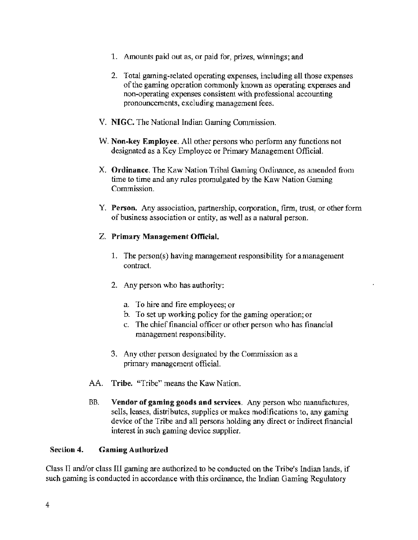- 1. Amounts paid out as, or paid for, prizes, winnings; and
- 2. Total gaming-related operating expenses, including all those expenses of the gaming operation commonly known as operating expenses and non-operating expenses consistent with professional accounting pronouncements, excluding management fees.
- V. NIGC. The National Indian Gaming Commission.
- W. Non-key Employee. All other persons who perform any functions not designated as a Key Employee or Primary Management Official.
- X. Ordinance. The Kaw Nation Tribal Gaming Ordinance, as amended from time to time and any rules promulgated by the Kaw Nation Gaming Commission.
- Y. Person. Any association, partnership, corporation, firm, trust, or other form of business association or entity, as well as a natural person.

### Z. Primary Management Official.

- 1. The person(s) having management responsibility for a management contract.
- 2. Any person who has authority:
	- a. To hire and fire employees; or
	- b. To set up working policy for the gaming operation; or
	- c. The chief financial officer or other person who has financial management responsibility.
- 3. Any other person designated by the Commission as a primary management official.
- AA. Tribe. "Tribe" means the Kaw Nation.
- BB. Vendor of gaming goods and services. Any person who manufactures, sells, leases, distributes, supplies or makes modifications to, any gaming device of the Tribe and all persons holding any direct or indirect financial interest in such gaming device supplier.

#### Seclion 4. Gaming Authorized

Class JI and/or class III gaming are authorized to be conducted on the Tribe's Indian lands, if such gaming is conducted in accordance with this ordinance, the Indian Gaming Regulatory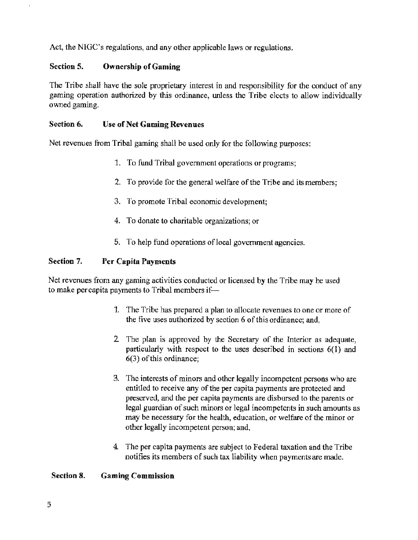Act, the NIGC's regulations, and any other applicable laws or regulations.

#### Section S. Ownership of Gaming

The Tribe shall have the sole proprietary interest in and responsibility for the conduct of any gaming operation authorized by this ordinance, unless the Tribe elects to allow individually owned gaming.

#### Section 6. Use of Net Gaming Revenues

Net revenues from Tribal gaming shall be used only for the following purposes:

- 1. To fund Tribal government operations or programs;
- 2. To provide for the general welfare of the Tribe and its members;
- 3. To promote Tribal economic development;
- 4. To donate to charitable organizations; or
- 5. To help fund operations of local government agencies.

#### Section 7. Per Capita Payments

Net revenues from any gaming activities conducted or licensed by the Tribe may be used to make per capita payments to Tribal members if-

- 1. The Tribe has prepared a plan to allocate revenues to one or more of the five uses authorized by section 6 of this ordinance; and,
- 2 The plan is approved by the Secretary of the Interior as adequate, particularly with respect to the uses described in sections 6(1) and 6(3) of this ordinance;
- 3. The interests of minors and other legally incompetent persons who are entitled to receive any of the per capita payments are protected and preserved, and the per capita payments are disbursed to the parents or legal guardian of such minors or legal incompetents in such amounts as may be necessary for the health, education, or welfare of the minor or other legally incompetent person; and,
- 4. The per capita payments are subject to Federal taxation and the Tribe notifies its members of such tax liability when payments are made.

#### Section 8. Gaming Commission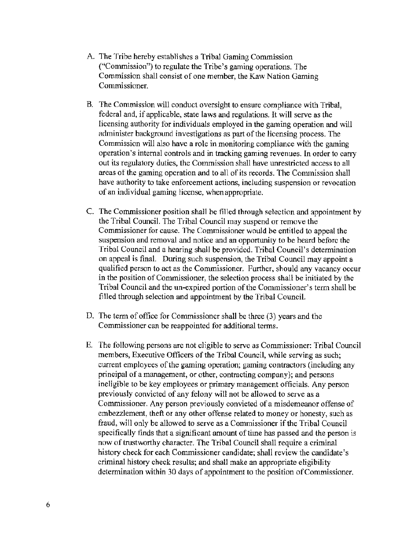- A. The Tribe hereby establishes a Tribal Gaming Commission ("Commission") to regulate the Tribe's gaming operations. The Commission shall consist of one member, the Kaw Nation Gaming Commissioner.
- B. The Commission will conduct oversight to ensure compliance with Tribal, federal and, if applicable, state laws and regulations. It will serve as the licensing authority for individuals employed in the gaming operation and will administer background investigations as part of the licensing process. The Commission will also have a role in monitoring compliance with the gaming operation's internal controls and in tracking gaming revenues. In order to carry out its regulatory duties, the Commission shall have unrestricted access to all areas of the gaming operation and to all of its records. The Commission shall have authority to take enforcement actions, including suspension or revocation of an individual gaming license, when appropriate.
- C. The Commissioner position shall be filled through selection and appointment by the Tribal Council. The Tribal Council may suspend or remove the Commissioner for cause. The Commissioner would he entitled to appeal the suspension and removal and notice and an opportunity to be heard before the Tribal Council and a hearing shall be provided. Tribal Council's determination on appeal is final. During such suspension, the Tribal Council may appoint a qualified person to act as the Commissioner. Further, should any vacancy occur in the position of Commissioner, the selection process shall be initiated by the Tribal Council and the un-expired portion of the Commissioner's term shall be filled through selection and appointment by the Tribal Council.
- D. The term of office for Commissioner shall be three (3) years and the Commissioner can be reappointed for additional terms.
- E. The following persons are not eligible to serve as Conunissioner: Tribal Council members, Executive Officers of the Tribal Council, while serving as such; current employees of the gaming operation; gaming contractors (including any principal of a management, or other, contracting company); and persons ineligible to be key employees or primary management officials. Any person previously convicted of any felony will not be allowed to serve as a Commissioner. Any person previously convicted of a misdemeanor offense of embezzlement, theft or any other offense related to money or honesty, such as fraud, will only be allowed to serve as a Commissioner if the Tribal Council specifically finds that a significant amount of time has passed and the person is now of trustworthy character. The Tribal Council shall require a criminal history check for each Commissioner candidate; shall review the candidate's criminal history check results; and shall make an appropriate eligibility determination within 30 days of appointment to the position of Commissioner.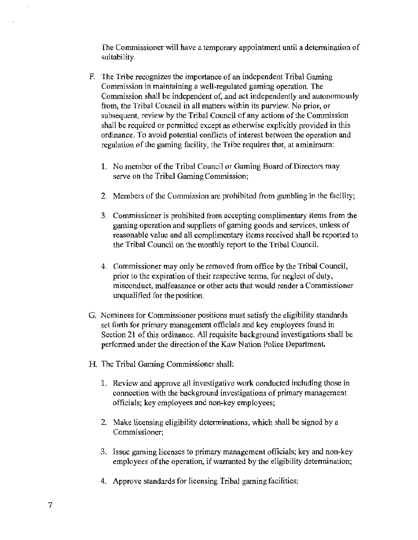The Commissioner will have a temporary appointment until a determination of suitability.

- F. The Tribe recognizes the importance of an independent Tribal Gaming Commission in maintaining a well-regulated gaming operation. The Commission shall be independent of, and act independently and autonomously from, the Tribal Council in all matters within its purview. No prior, or subsequent, review by the Tribal Council of any actions of the Commission shall be required or permitted except as otherwise explicitly provided in this ordinance. To avoid potential conflicts of interest between the operation and regulation of the gaming facility, the Tribe requires that, at a minimum:
	- 1. No member of the Tribal Council or Gaming Board of Directors may serve on the Tribal Gaming Commission;
	- 2. Members of the Commission are prohibited from gambling in the facility;
	- 3. Commissioner is prohibited from accepting complimentary items from the gaming operation and suppliers of gaming goods and services, unless of reasonable value and all complimentary items received shall be reported to the Tribal Council on the monthly report to the Tribal Council.
	- 4. Commissioner may only be removed from office by the Tribal Council, prior to the expiration of their respective terms, for neglect of duty, misconduct, malfeasance or other acts that would render a Commissioner unqualified for the position.
- G. Nominees for Commissioner positions must satisfy the eligibility standards set forth for primary management officials and key employees found in Section 21 of this ordinance. All requisite background investigations shall be performed under the direction of the Kaw Nation Police Department.
- H. The Tribal Gaming Commissioner shall:
	- l. Review and approve all investigative work conducted including those in connection with the background investigations of primary management officials; key employees and non-key employees;
	- 2. Make licensing eligibility determinations, which shall be signed by a Commissioner;
	- 3. Issue gaming licenses to primary management officials; key and non-key employees of the operation, if warranted by the eligibility determination;
	- 4. Approve standards for licensing Tribal gaming facilities;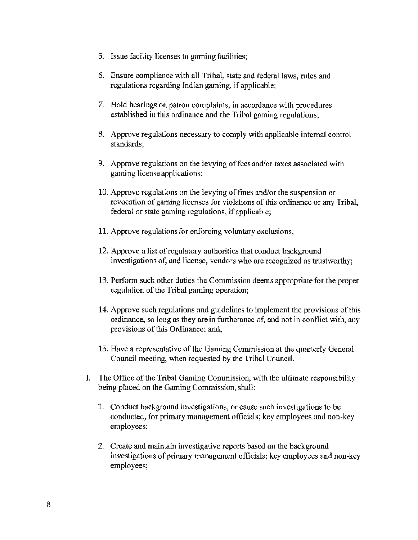- 5. Issue facility licenses to gaming facilities;
- 6. Ensure compliance with all Tribal, state and federal laws, rules and regulations regarding Indian gaming, if applicable;
- 7. Hold hearings on patron complaints, in accordance with procedures established in this ordinance and the Tribal gaming regulations;
- 8. Approve regulations necessary to comply with applicable internal control standards;
- 9. Approve regulations on the levying of fees and/or taxes associated with gaming license applications;
- 10. Approve regulations on the levying of fines and/or the suspension or revocation of gaming licenses for violations of this ordinance or any Tribal, federal or state gaming regulations, if applicable;
- 11. Approve regulations for enforcing voluntary exclusions;
- 12. Approve a list of regulatory authorities that conduct background investigations of, and license, vendors who are recognized as trustworthy;
- 13. Perform such other duties the Commission deems appropriate for the proper regulation of the Tribal gaming operation;
- 14. Approve such regulations and guidelines to implement the provisions of this ordinance, so long as they are in furtherance of, and not in conflict with, any provisions of this Ordinance; and,
- 15. Have a representative of the Gaming Commission at the quarterly General Council meeting, when requested by the Tribal Council.
- I. The Office of the Tribal Gaming Commission, with the ultimate responsibility being placed on the Gaming Commission, shall:
	- 1. Conduct background investigations, or cause such investigations to be conducted, for primary management officials; key employees and non-key employees;
	- 2. Create and maintain investigative reports based on the background investigations of primary management officials; key employees and non-key employees;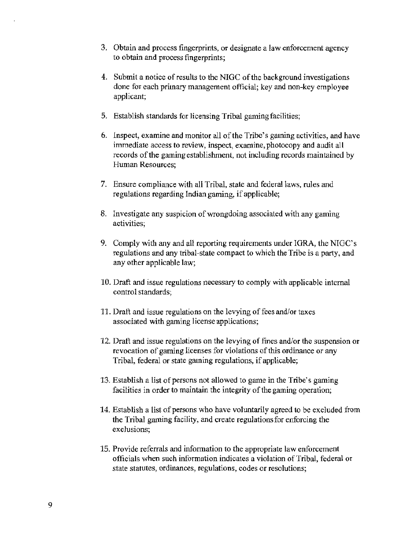- 3. Obtain and process fingerprints, or designate a law enforcement agency to obtain and process fingerprints;
- 4. Submit a notice of results to the NIGC of the background investigations done for each primary management official; key and non-key employee applicant;
- 5. Establish standards for licensing Tribal gaming facilities;
- 6. Inspect, examine and monitor all of the Tribe's gaming activities, and have immediate access to review, inspect, examine, photocopy and audit all records of the gaming establishment, not including records maintained by Human Resources;
- 7. Ensure compliance with all Tribal, state and federal laws, rules and regulations regarding Indian gaming, if applicable;
- 8. Investigate any suspicion of wrongdoing associated with any gaming activities;
- 9. Comply with any and all reporting requirements under IGRA, the NIGC's regulations and any tribal-state compact to which the Tribe is a party, and any other applicable law;
- 10. Draft and issue regulations necessary to comply with applicable internal control standards;
- 11. Draft and issue regulations on the levying of fees and/or taxes associated with gaming license applications;
- 12. Draft and issue regulations on the levying of fines and/or the suspension or revocation of gaming licenses for violations of this ordinance or any Tribal, federal or state gaming regulations, if applicable;
- 13. Establish a list of persons not allowed to game in the Tribe's gaming facilities in order to maintain the integrity of the gaming operation;
- 14. Establish a list of persons who have voluntarily agreed to be excluded from the Tribal gaming facility, and create regulations for enforcing the exclusions;
- 15. Provide referrals and information to the appropriate law enforcement officials when such information indicates a violation of Tribal, federal or state statutes, ordinances, regulations, codes or resolutions;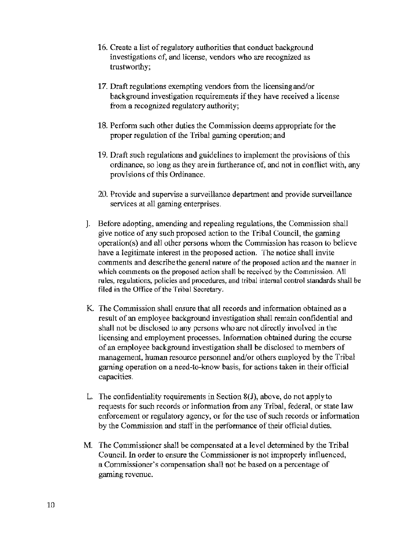- 16. Create a list of regulatory authorities that conduct background investigations of, and license, vendors who are recognized as trustworthy;
- 17. Draft regulations exempting vendors from the licensing and/or background investigation requirements if they have received a license from a recognized regulatory authority;
- 18. Perform such other duties the Commission deems appropriate for the proper regulation of the Tribal gaming operation; and
- 19. Draft such regulations and guidelines to implement the provisions of this ordinance, so long as they are in furtherance of, and not in conflict with, any provisions of this Ordinance.
- 20. Provide and supervise a surveillance department and provide surveillance services at all gaming enterprises.
- J. Before adopting, amending and repealing regulations, the Commission shall give notice of any such proposed action to the Tribal Council, the gaming  $operation(s)$  and all other persons whom the Commission has reason to believe have a legitimate interest in the proposed action. The notice shall invite comments and describe the general nature of the proposed action and the manner in which comments on the proposed action shall be received by the Commission. All rules, regulations, policies and procedures, and tribal internal control standards shall be filed in the Office of the Tribal Secretary.
- K The Commission shall ensure that all records and information obtained as a result of an employee background investigation shall remain confidential and shall not be disclosed to any persons who are not directly involved in the licensing and employment processes. Information obtained during the course of an employee background investigation shall be disclosed to members of management, human resource personnel and/or others employed by the Tribal gaming operation on a need-to-know basis, for actions taken in their official capacities.
- L. The confidentiality requirements in Section 8(J), above, do not apply to requests for such records or information from any Tribal, federal, or state law enforcement or regulatory agency) or for the use of such records or information by the Commission and staff in the performance of their official duties.
- M. The Commissioner shall be compensated at a level determined by the Tribal Council. In order to ensure the Commissioner is not improperly influenced, a Commissioner's compensation shall not be based on a percentage of gaming revenue.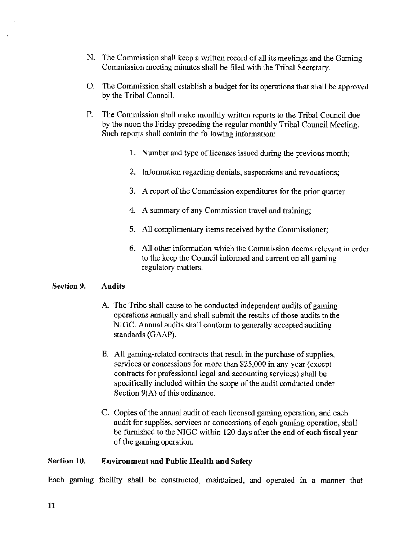- N. The Commission shall keep a written record of all its meetings and the Gaming Commission meeting minutes shall be filed with the Tribal Secretary.
- 0. The Commission shall establish a budget for its operations that shall be approved by the Tribal Council.
- P. The Commission shall make monthly written reports to the Tribal Council due by the noon the Friday preceding the regular monthly Tribal Council Meeting. Such reports shall contain the following information:
	- 1. Number and type of licenses issued during the previous month;
	- 2. Information regarding denials, suspensions and revocations;
	- 3. A report of the Commission expenditures for the prior quarter
	- 4. A summary of any Commission travel and training;
	- 5. All complimentary items received by the Commissioner;
	- 6. All other information which the Commission deems relevant in order to the keep the Council informed and current on all gaming regulatory matters.

#### Section 9. Audits

- A. The Tribe shall cause to be conducted independent audits of gaming operations annually and shall submit the results of those audits to the NIGC. Annual audits shall conform to generally accepted auditing standards (GAAP).
- B. All gaming-related contracts that result in the purchase of supplies, services or concessions for more than \$25,000 in any year (except contracts for professional legal and accounting services) shall be specifically included within the scope of the audit conducted under Section 9(A) of this ordinance.
- C. Copies of the annual audit of each licensed gaming operation, and each audit for supplies, services or concessions of each gaming operation, shall be furnished to the NIGC within 120 days after the end of each fiscal year of the gaming operation.

#### Section 10. Environment and Public Health and Safety

Each gaming facility shall be constructed, maintained, and operated in a manner that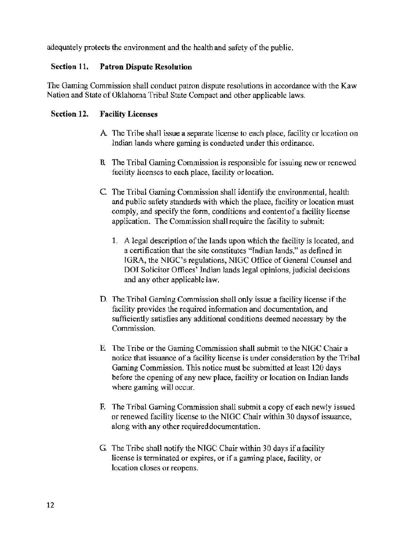adequately protects the environment and the health and safety of the public.

#### Section 11. Patron Dispute Resolution

The Gaming Commission shall conduct patron dispute resolutions in accordance with the Kaw Nation and State of Oklahoma Tribal State Compact and other applicable laws.

#### Section 12. Facility Licenses

- A The Tribe shall issue a separate license to each place, facility or location on Indian lands where gaming is conducted under this ordinance.
- B. The Tribal Gaming Commission is responsible for issuing new or renewed facility licenses to each place, facility or location.
- C The Tribal Gaming Commission shall identify the environmental, health and public safety standards with which the place, facility or location must comply, and specify the fonn, conditions and contentof a facility license application. The Commission shall require the facility to submit:
	- 1. A legal description of the lands upon which the facility is located, and a certification that the site constitutes "Indian lands." as defined in IGRA, the NIGC's regulations, NIGC Office of General Counsel and DOI Solicitor Offices' Indian lands legal opinions, judicial decisions and any other applicable law.
- D. The Tribal Gaming Commission shall only issue a facility license if the facility provides the required information and documentation, and sufficiently satisfies any additional conditions deemed necessary by the Commission.
- E The Tribe or the Gaming Commission shall submit to the NIGC Chair a notice that issuance of a facility license is under consideration by the Tribal Gaming Commission. This notice must be submitted at least 120 days before the opening of any new place, facility or location on Indian lands where gaming will occur.
- F. The Tribal Gaming Commission shall submit a copy of each newly issued or renewed facility license to the NIGC Chair within 30 days of issuance, along with any other required documentation.
- G. The Tribe shall notify the NIGC Chair within 30 days if a facility license is terminated or expires, or if a gaming place, facility, or location closes or reopens.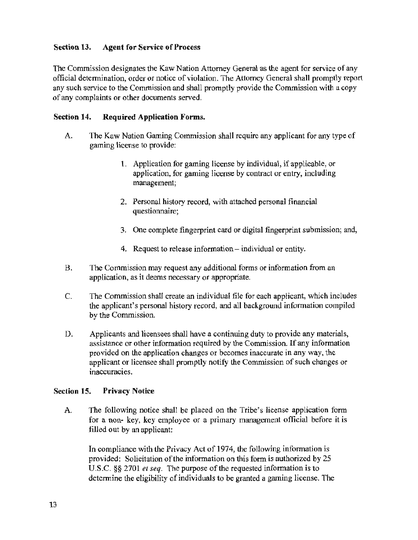### Section 13. Agent for Service of Process

The Commission designates the Kaw Nation Attorney General as the agent for service of any official determination, order or notice of violation. The Attorney General shall promptly report any such service to the Commission and shall promptly provide the Commission with a copy of any complaints or other documents served.

#### Section 14. Required Application Forms.

- A. The Kaw Nation Gaming Commission shall require.any applicant for any type of gaming license to provide:
	- l. Application for gaming license by individual, if applicable, or application, for gaming license by contract or entry, including management;
	- 2. Personal history record, with attached personal financial questionnaire;
	- 3. One complete fingerprint card or digital fingerprint submission; and,
	- 4. Request to release information individual or entity.
- B. The Commission may request any additional forms or information from an application, as it deems necessary or appropriate.
- C. The Commission shall create an individual file for each applicant, which includes the applicant's personal history record, and all backgrowid information compiled by the Commission.
- D. Applicants and licensees shall have a continuing duty to provide any materials, assistance or other information required by the Commission. If any information provided on the application changes or becomes inaccurate in any way. the applicant or licensee shall promptly notify the Commission of such changes or inaccuracies.

#### Section 15. Privacy Notice

A. The following notice shall be placed on the Tribe's license application form for a non- key, key employee or a primary management official before it is filled out by an applicant:

In compliance with the Privacy Act of 1974, the following information is provided: Solicitation of the information on this form is authorized by 25 U.S.C. §§ 2701 *et seq.* The purpose of the requested information is to determine the eligibility of individuals to be granted a gaming license. The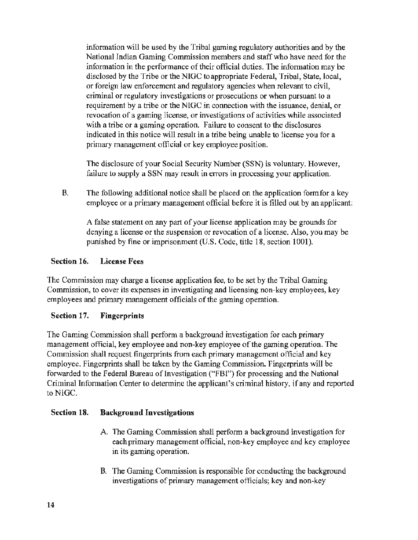information will be used by the Tribal gaming regulatory authorities and by the National Indian Gaming Commission members and staff who have need for the information in the performance of their official duties. The information may be disclosed by the Tribe or the NIGC to appropriate Federal, Tribal, State, local, or foreign law enforcement and regulatory agencies when relevant to civil, criminal or regulatory investigations or prosecutions or when pursuant to a requirement by a tribe or the NIGC in connection with the issuance, denial, or revocation of a gaming license, or investigations of activities while associated with a tribe or a gaming operation. Failure to consent to the disclosures indicated in this notice will result in a tribe being unable to license you for a primary management official or key employee position.

The disclosure of your Social Security Number (SSN) is voluntary. However, failure to supply a SSN may result in errors in processing your application.

B. The following additional notice shall be placed on the application form for a key employee or a primary management official before it is filled out by an applicant:

A false statement on any part of your license application may be grounds for denying a license or the suspension or revocation of a license. Also, you may be punished by fine or imprisonment (U.S. Code, title 18, section 1001).

### Section 16. License Fees

The Commission may charge a license application fee, to be set by the Tribal Gaming Commission, to cover its expenses in investigating and licensing non-key employees, key employees and primary management officials of the gaming operation.

#### Section 17. Fingerprints

The Gaming Commission shall perform a background investigation for each primary management official, key employee and non-key employee of the gaming operation. The Commission shall request fingerprints from each primary management official and key employee. Fingerprints shall be taken by the Gaming Commission. Fingerprints will be forwarded to the Federal Bureau of Investigation ("FBI") for processing and the National Criminal Information Center to determine the applicant's criminal history, if any and reported to NIGC.

#### Section 18. Background Investigations

- A. The Gaming Commission shall perform a background investigation for each primary management official, non-key employee and key employee in its gaming operation.
- B. The Gaming Commission is responsible for conducting the background investigations of primary management officials; key and non-key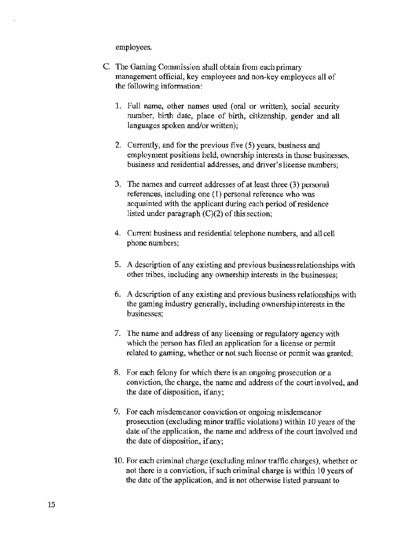employees.

- C. The Gaming Commission shall obtain from each primary management official, key employees and non-key employees all of the following information:
	- 1. Full name, other names used (oral or written), social security number, birth date, place of birth, citizenship, gender and all languages spoken and/or written);
	- 2. Currently, and for the previous five (5) years, business and employment positions held, ownership interests in those businesses, business and residential addresses, and driver's license numbers;
	- 3. The names and current addresses of at least three (3) personal references, including one (1) personal reference who was acquainted with the applicant during each period of residence listed under paragraph (C)(2) of this section;
	- 4. Current business and residential telephone numbers, and all cell phone numbers;
	- 5. A description of any existing and previous business relationships with other tribes, including any ownership interests in the businesses;
	- 6. A description of any existing and previous business relationships with the gaming industry generally, including ownership interests in the businesses;
	- 7. The name and address of any licensing or regulatory agency with which the person has filed an application for a license or permit related to gaming, whether or not such license or permit was granted;
	- 8. For each felony for which there is an ongoing prosecution or a conviction, the charge, the name and address of the cowt involved, and the date of disposition, if any;
	- 9. For each misdemeanor conviction or ongoing misdemeanor prosecution (excluding minor traffic violations) within 10 years of the date of the application, the name and address of the court involved and the date of disposition, if any;
	- 10. For each criminal charge (excluding minor traffic charges), whether or not there is a conviction, if such criminal charge is within 10 years of the date of the application, and is not otherwise listed pursuant to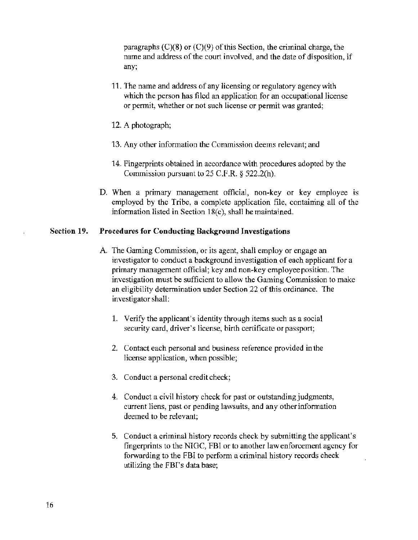paragraphs  $(C)(8)$  or  $(C)(9)$  of this Section, the criminal charge, the name and address of the court involved, and the date of disposition, if any;

- 11. The name and address of any licensing or regulatory agency with which the person has filed an application for an occupational license or permit, whether or not such license or permit was granted;
- 12. A photograph;
- 13. Any other information the Commission deems relevant; and
- 14. Fingerprints obtained in accordance with procedures adopted by the Commission pursuant to 25 C.F.R. *§* 522.2(h).
- D. When a primary management official, non-key or key employee is employed by the Tribe, a complete application file, containing all of the information listed in Section 18(c), shaH he maintained.

#### Section 19. Procedures for Conducting Background Investigations

- A. The Gaming Commission, or its agent, shall employ or engage an investigator to conduct a background investigation of each applicant for a primary management official; key and non-key employee position. The investigation must be sufficient to allow the Gaming Commission to make an eligibility determination under Section 22 of this ordinance. The investigator shall:
	- 1. Verify the applicant's identity through items such as a social security card, driver's license, birth certificate or passport;
	- 2. Contact each personal and business reference provided in the license application, when possible;
	- 3. Conduct a personal credit check;
	- 4. Conduct a civil history check for past or outstanding judgments, current liens, past or pending lawsuits, and any other information deemed to be relevant;
	- 5. Conduct a criminal history records check by submitting the applicant's fingerprints to the NIGC, FBI or to another law enforcement agency for forwarding to the FBI to perform a criminal history records check utilizing the FBI's data base;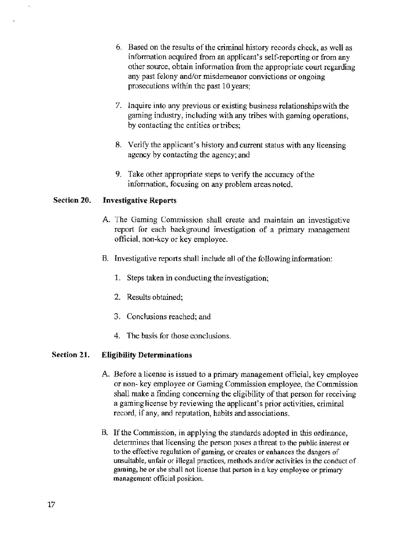- 6. Based on the results of the criminal history records check, as well as information acquired from an applicant's self-reporting or from any other source, obtain information from the appropriate court regarding any past felony and/or misdemeanor convictions or ongoing prosecutions within the past 10 years;
- 7. Inquire into any previous or existing business relationships with the gaming industry, including with any tribes with gaming operations, by contacting the entities or tribes;
- 8. Verify the applicant's history and current status with any licensing agency by contacting the agency; and
- 9. Take other appropriate steps to verify the accuracy of the information, focusing on any problem areas noted.

#### Section 20. Investigative Reports

- A. The Gaming Commission shall create and maintain an investigative report for each background investigation of a primary management official, non·key or key employee.
- B. Investigative reports shall include all of the following information:
	- 1. Steps taken in conducting the investigation;
	- 2. Results obtained;
	- 3. Conclusions reached; and
	- 4. The basis for those conclusions.

#### Section 21. Eligibilify Determinations

- A. Before a license is issued to a primary management official, key employee or non- key employee or Gaming Commission employee, the Commission shall make a finding conceming the eligibility of that person for receiving a gaming license by reviewing the applicant's prior activities, criminal record, if any, and reputation, habits and associations.
- B. If the Commission, in applying the standards adopted in this ordinance, determines that licensing the person poses a threat to the public interest or to the effective regulation of gaming, or creates or enhances the dangers of unsuitable, unfair or illegal practices, methods and/or activities in the conduct of gaming, he or she shall not license that person in a key employee or primary management official position.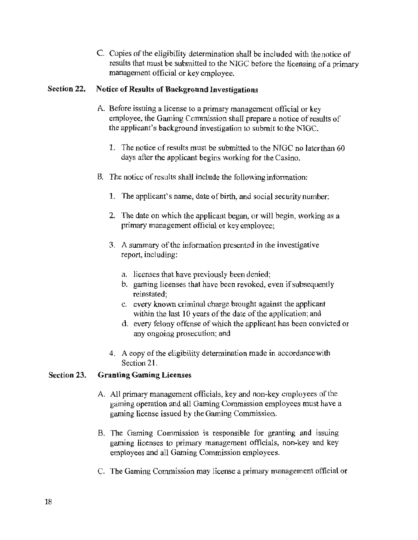C. Copies of the eligibility determination shall be included with thenotice of results that must be submitted to the NIGC before the licensing of a primary management official or key employee.

#### Section 22. Notice of Results of Background Investigations

- A Before issuing a license to a primary management official or key employee, the Gaming Commission shall prepare a notice of results of the applicant's background investigation to submit to the NIGC.
	- 1. The notice of results must be submitted to the NIGC no later than 60 days after the applicant begins working for the Casino.
- B. The notice of results shall include the following information:
	- 1. The applicant's name, date of birth, and social security number;
	- 2. The date on which the applicant began, or will begin, working as a primary management official or key employee;
	- 3. A summary of the information presented in the investigative report, including:
		- a. licenses that have previously been denied;
		- b. gaming licenses that have been revoked, even if subsequently reinstated;
		- c. every known criminal charge brought against the applicant within the last 10 years of the date of the application; and
		- d. every felony offense of which the applicant has been convicted or any ongoing prosecution; and
	- 4. A copy of the eligibility determination made in accordance with Section 21.

#### Section 23. Granting Gaming Licenses

- A. All primary management officials, key and non-key employees of the gaming operation and all Gaming Commission employees must have a gaming license issued by the Gaming Commission.
- B. The Gaming Commission is responsible for granting and issuing gaming licenses to primary management officials, non-key and key employees and all Gaming Commission employees.
- C. The Gaming Commission may license a primary management official or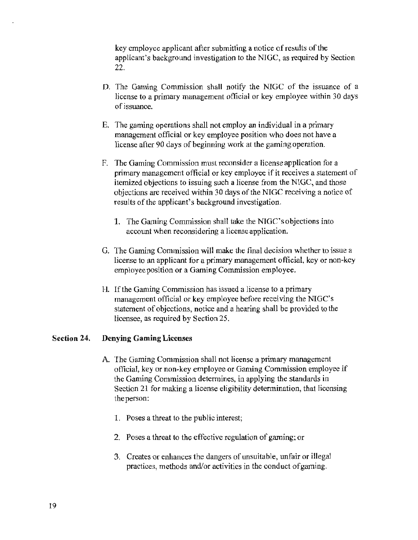key employee applicant after submitting a notice of results of the applicant's background investigation to the NIGC, as required by Section 22.

- D. The Gaming Commission shall notify the NIGC of the issuance of a license to a primary management official or key employee within 30 days of issuance.
- E. The gaming operations shall not employ an individual in a primary management official or key employee position who does not have a license after 90 days of beginning work at the gaming operation.
- F. The Gaming Commission must reconsider a license application for a primary management official or key employee if it receives a statement of itemized objections to issuing such a license from the NIGC, and those objections are received within 30 days of the NIGC receiving a notice of results of the applicant's background investigation.
	- 1. The Gaming Commission shall take the NIGC'sobjections into account when reconsidering a license application.
- G. The Gaming Commission will make the final decision whether to issue a license to an applicant for a primary management official, key or non-key employee position or a Gaming Commission employee.
- H. If the Gaming Commission has issued a license to a primary management official or key employee before receiving the NIGC's statement of objections, notice and a hearing shall be provided to the licensee, as required by Section 25.

#### Section 24. Denying Gaming Licenses

- A. The Gaming Commission shall not license a primary management official, key or non-key employee or Gaming Commission employee if the Gaming Commission detennines, in applying the standards in Section 21 for making a license eligibility determination, that licensing the person:
	- 1. Poses a threat to the public interest;
	- 2. Poses a threat to the effective regulation of gaming; or
	- 3. Creates or enhances the dangers of unsuitable, unfair or illegal practices, methods and/or activities in the conduct of gaming.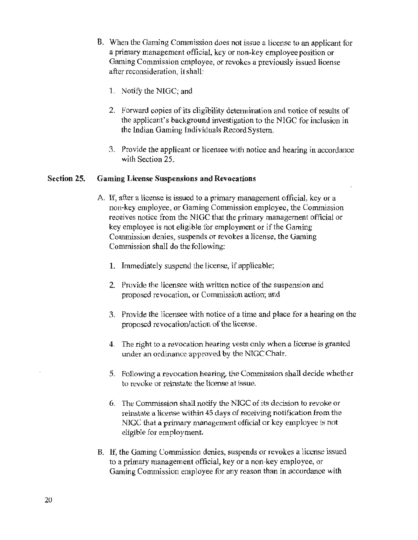- B. When the Gaming Commission does not issue a license to an applicant for a primary management official, key or non-key employee position or Gaming Commission employee, or revokes a previously issued license after reconsideration, it shall:
	- 1. Notify the NIGC; and
	- 2. Forward copies of its eligibility determination and notice of results of the applicant's background investigation to the NIGC for inclusion in the Indian Gaming Individuals Record System.
	- 3. Provide the applicant or licensee with notice and hearing in accordance wilh Section 25.

#### **Section 25. Gaming License Suspensions and Revocations**

- A If, after a license is issued to a primary management official, key or a non-key employee, or Gaming Commission employee, the Commission receives notice from the NlGC that the primary management official or key employee is not eligible for employment or if the Gaming Commission denies, suspends or revokes a license, the Gaming Commission shall do the following:
	- **1.** Immediately suspend the license, if applicable;
	- 2. Provide the licensee with written notice of the suspension and proposed revocation, or Commission action; and
	- 3. Provide the licensee with notice of a time and place for a hearing on the proposed revocation/action of the license.
	- 4. The right to a revocation hearing vests only when a license is granted under an ordinance approved by the NlGCChair.
	- 5. Following a revocation hearing, the Conunission shall decide whether to revoke or reinstate the license at issue.
	- 6. The Commission shall notify the NIGC of its decision to revoke or reinstate a license within 45 days of receiving notification from the NIGC that a primary management official or key employee is not eligible for employment.
- B. If, the Gaming Commission denies, suspends or revokes a license issued to a primary management official, key or a non-key employee, or Gaming Commission employee for any reason than in accordance with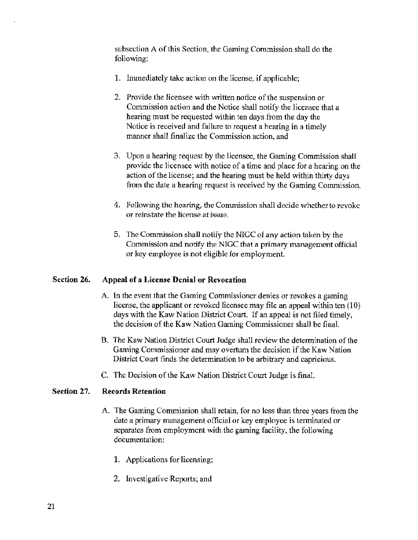subsection A of this Section, the Gaming Commission shall do the following:

- 1. Inunediately take action on the license, if applicable;
- 2. Provide the licensee with written notice of the suspension or Commission action and the Notice shall notify the licensee that a hearing must be requested within ten days from the day the Notice is received and failure to request a hearing in a timely manner shall finalize the Commission action, and
- 3. Upon a hearing request by the licensee, the Gaming Commission shall provide the licensee with notice of a time and place for a hearing on the action of the license; and the hearing must be held within thirty days from the date a hearing request is received by the Gaming Commission.
- 4. Following the hearing, the Commission shall decide whether to revoke or reinstate the license at issue.
- 5. The Commission shall notify the NIGC of any action taken by the Commission and notify the NIGC that a primary management official or key employee is not eligible for employment.

#### Section 26. Appeal of a License Denial or Revocation

- A. In the event that the Gaming Commissioner denies or revokes a gaming license, the applicant or revoked licensee may file an appeal within ten (10) days with the Kaw Nation District Court. If an appeal is not filed timely, the decision of the Kaw Nation Gaming Commissioner shall be final.
- B. The Kaw Nation District Court Judge shall review the determination of the Gaming Commissioner and may overturn the decision if the Kaw Nation District Court finds the determination to be arbitrary and capricious.
- C. The Decision of the Kaw Nation District Court Judge is final.

#### Section 27. Records Retention

- A. The Gaming Commission shall retain, for no less than three years from the date a primary management official or key employee is terminated or separates from employment with the gaming facility, the following documentation:
	- 1. Applications for licensing;
	- 2. Investigative Reports; and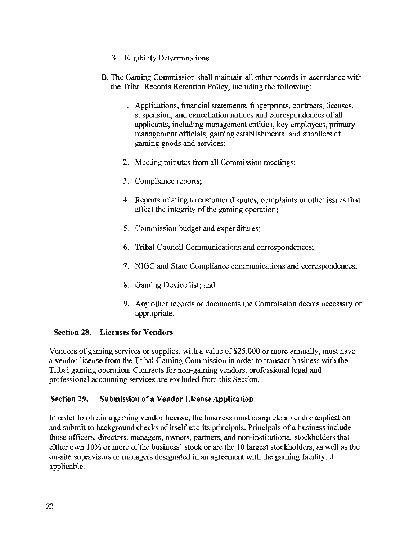- 3. Eligibility Determinations.
- B. The Gaming Connnission shall maintain all other records in accordance with the Tribal Records Retention Policy, including the following:
	- l. Applications, financial statements, fingerprints, contracts, licenses, suspension, and cancellation notices and correspondences of all applicants, including management entities, key employees, primary management officials, gaming establishments, and suppliers of gaming goods and services;
	- 2. Meeting minutes from all Commission meetings;
	- 3. Compliance reports;
	- 4. Reports relating to customer disputes, complaints or other issues that affect the integrity of the gaming operation;
	- 5. Commission budget and expenditures;
	- 6. Tribal Council Communications and correspondences;
	- 7. NIGC and State Compliance communications and correspondences;
	- 8. Gaming Device list; and
	- 9. Any other records or docwnents the Commission deems necessary or appropriate.

#### Section 28. Licenses for Vendors

Vendors of gaming services or supplies, with a value of \$25,000 or more annually, must have a vendor license from the Tribal Gaming Commission in order to transact business with the Tribal gaming operation. Contracts for non-gaming vendors, professional legal and professional accounting services are excluded from this Section.

#### Section 29. Submission of a Vendor License Application

In order to obtain a gaming vendor license, the business must complete a vendor application and submit to background checks of itself and its principals. Principals of a business include those officers, directors, managers, owners, partners, and non-institutional stockholders that either own 10% or more of the business' stock or are the 10 largest stockholders, as well as the on-site supervisors or managers designated in an agreement with the gaming facility, if applicable.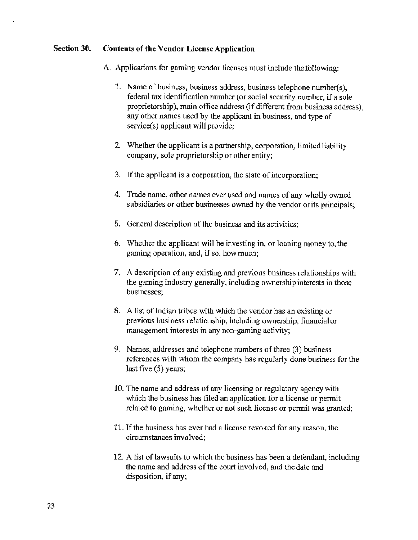#### Section 30. Contents of the Vendor License Application

- A. Applications for gaming vendor licenses must include thefollowing:
	- 1. Name of business, business address, business telephone number(s), federal tax identification number (or social security number, if a sole proprietorship), main office address (if different from business address), any other names used by the applicant in business, and type of service(s) applicant will provide;
	- 2. Whether the applicant is a partnership, corporation, limited liability company, sole proprietorship or other entity;
	- 3. If the applicant is a corporation, the state of incorporation;
	- 4. Trade name, other names ever used and names of any wholly owned subsidiaries or other businesses owned by the vendor or its principals;
	- 5. General description of the business and its activities;
	- 6. Whether the applicant will be investing in, or loaning money to, the gaming operation, and, if so, how much;
	- 7. A description of any existing and previous business relationships with the gaming industry generally, including ownership interests in those businesses;
	- 8. A list of Indian tribes with which the vendor has an existing or previous business relationship, including ownership, financial or management interests in any non-gaming activity;
	- 9. Names, addresses and telephone numbers of three (3) business references with whom the company has regularly done business for the last five (5) years;
	- 10. The name and address of any licensing or regulatory agency with which the business has filed an application for a license or permit related to gaming, whether or not such license or permit was granted;
	- 11. If the business has ever had a license revoked for any reason, the circumstances involved;
	- 12. A list of lawsuits to which the business has been a defendant, including the name and address of the court involved, and the date and disposition, if any;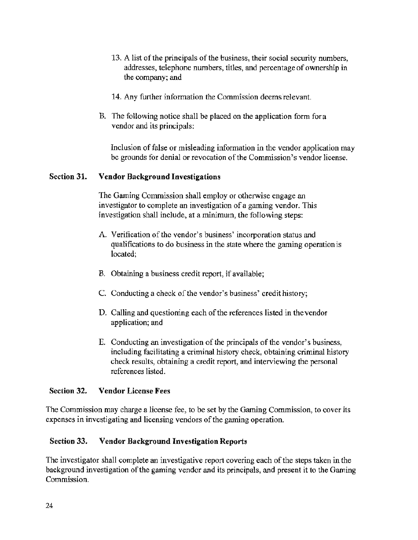- 13. A list of the principals of the business, their social security numbers, addresses, telephone numbers, titles, and percentage of ownership in the company; and
- 14. Any further information the Commission deems relevant.
- B. The following notice shall be placed on the application form for a vendor and its principals:

Inclusion of false or misleading information in the vendor application may be grounds for denial or revocation of the Commission's vendor license.

#### Section 31. Vendor Background Investigations

The Gaming Commission shall employ or otherwise engage an investigator to complete an investigation of a gaming vendor. This investigation shall include, at a minimum, the following steps:

- A. Verification of the vendor's business' incorporation status and qualifications to do business in the state where the gaming operation is located;
- B. Obtaining a business credit report, jf available;
- C. Conducting a check of the vendor's business' credit history;
- D. Calling and questioning each of the references listed in the vendor application; and
- E. Conducting an investigation of the principals of the vendor's business, including facilitating a criminal history check, obtaining criminal history check results, obtaining a credit report, and interviewing the personal references listed.

#### Section 32. Vendor License Fees

The Commission may charge a license fee, to be set by the Gaming Commission, to cover its expenses in investigating and licensing vendors of the gaming operation.

#### Section 33. Vendor Background Investigation Reports

The investigator shall complete an investigative report covering each of the steps taken in the background investigation of the gaming vendor and its principals, and present it to the Gaming Commission.